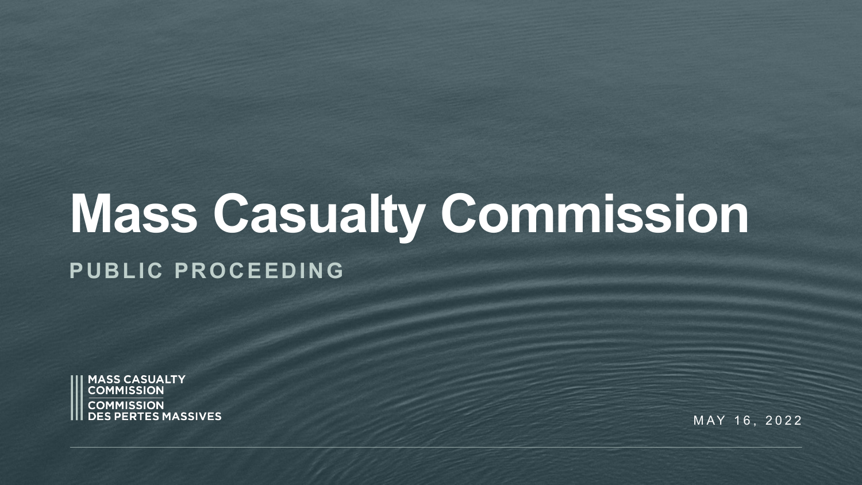# **Mass Casualty Commission**

#### **PUBLIC PROCEEDING**



MAY 16, 2022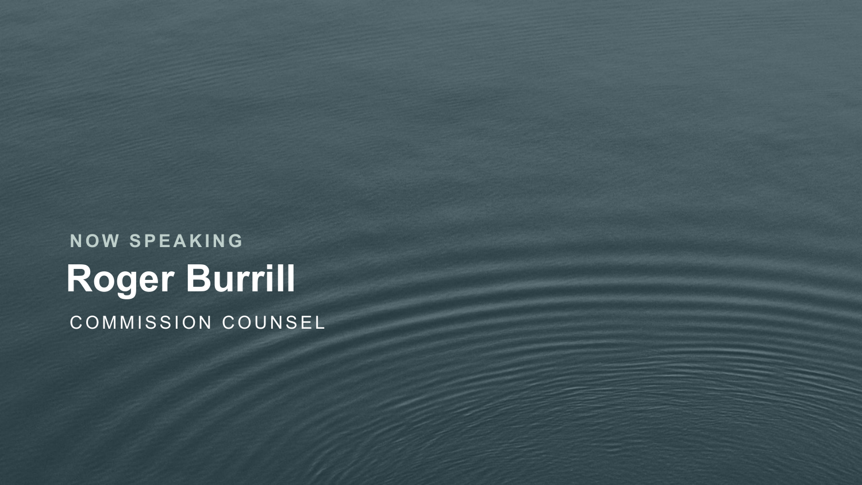**Roger Burrill NOW SPEAKING** COMMISSION COUNSEL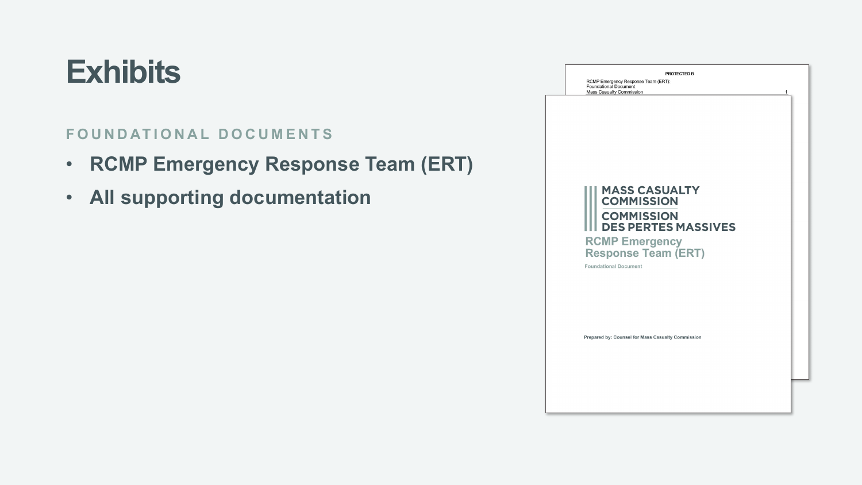#### **Exhibits**

#### **FOUNDATIONAL DOCUMENTS**

- **RCMP Emergency Response Team (ERT)**
- **All supporting documentation**

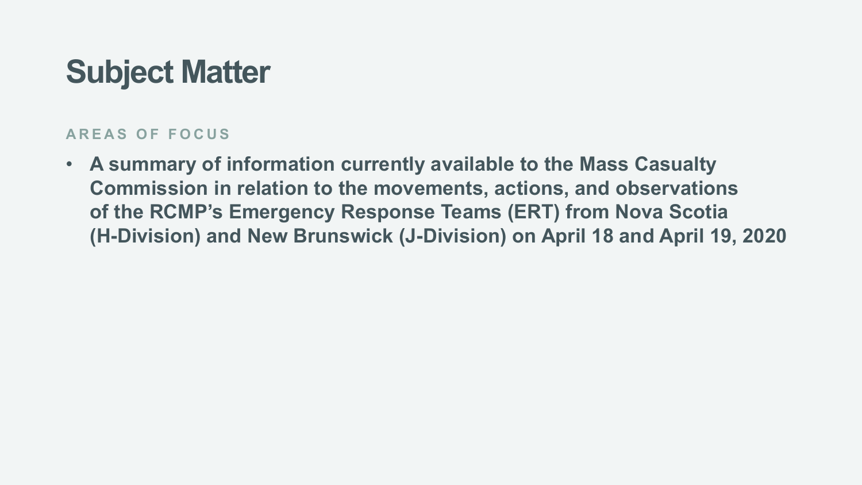### **Subject Matter**

#### **AREAS OF FOCUS**

• **A summary of information currently available to the Mass Casualty Commission in relation to the movements, actions, and observations of the RCMP's Emergency Response Teams (ERT) from Nova Scotia (H-Division) and New Brunswick (J-Division) on April 18 and April 19, 2020**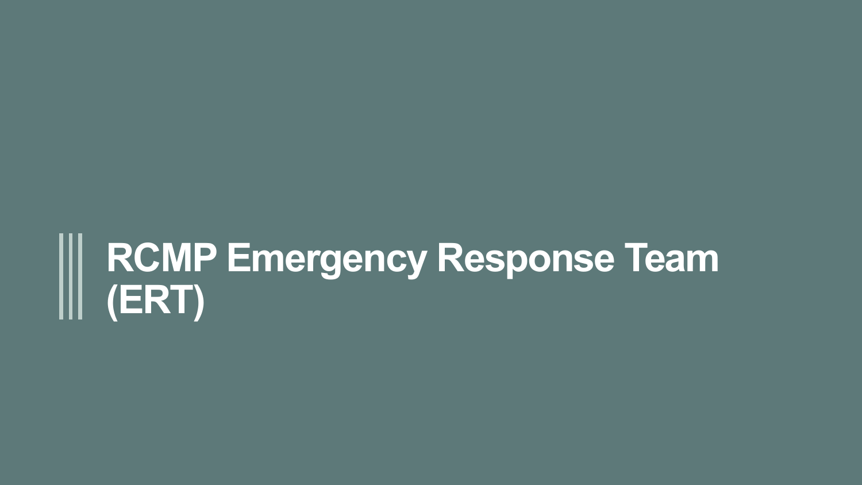## **RCMP Emergency Response Team (ERT)**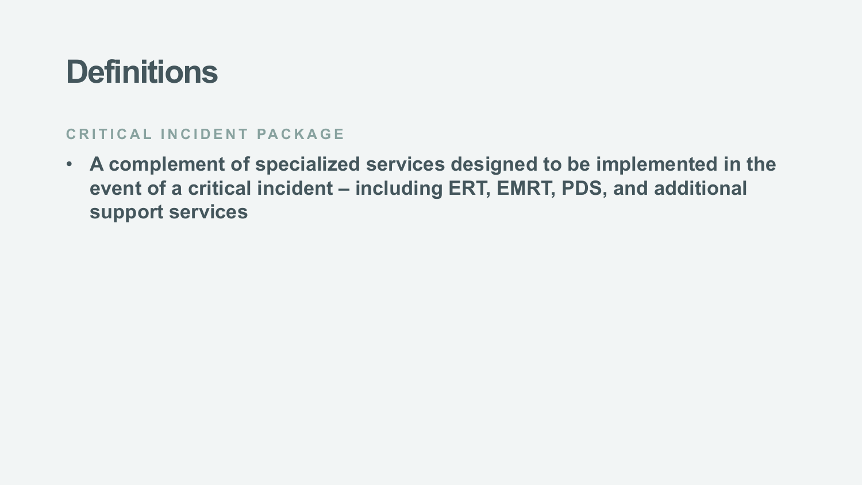#### **CRITICAL INCIDENT PACKAGE**

• **A complement of specialized services designed to be implemented in the event of a critical incident – including ERT, EMRT, PDS, and additional support services**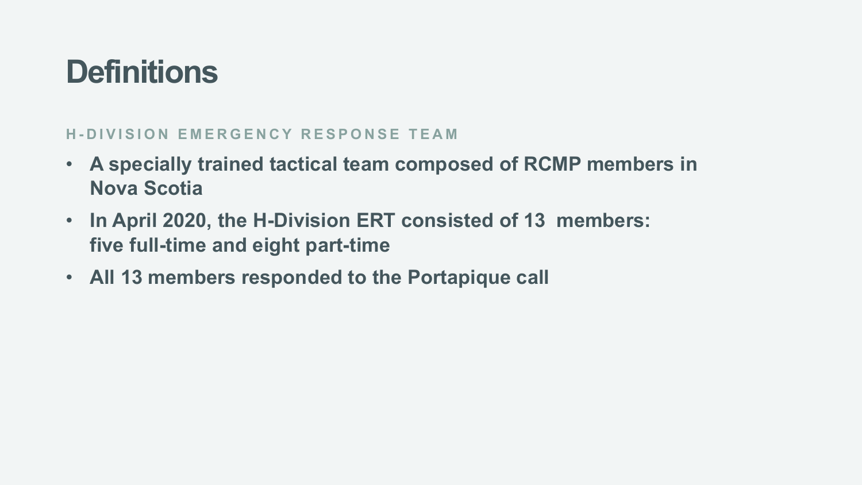#### **H - DIVISION EMERGENCY RESPONSE TEAM**

- **A specially trained tactical team composed of RCMP members in Nova Scotia**
- **In April 2020, the H-Division ERT consisted of 13 members: five full-time and eight part-time**
- **All 13 members responded to the Portapique call**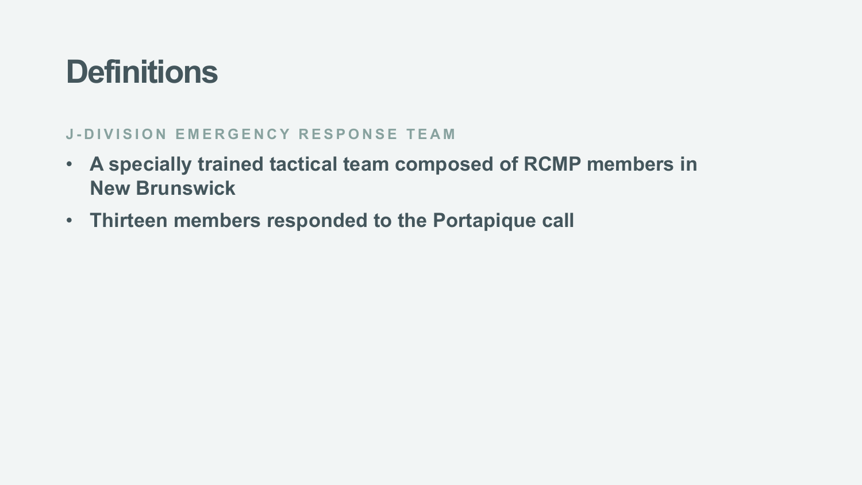#### **J - DIVISION EMERGENCY RESPONSE TEAM**

- **A specially trained tactical team composed of RCMP members in New Brunswick**
- **Thirteen members responded to the Portapique call**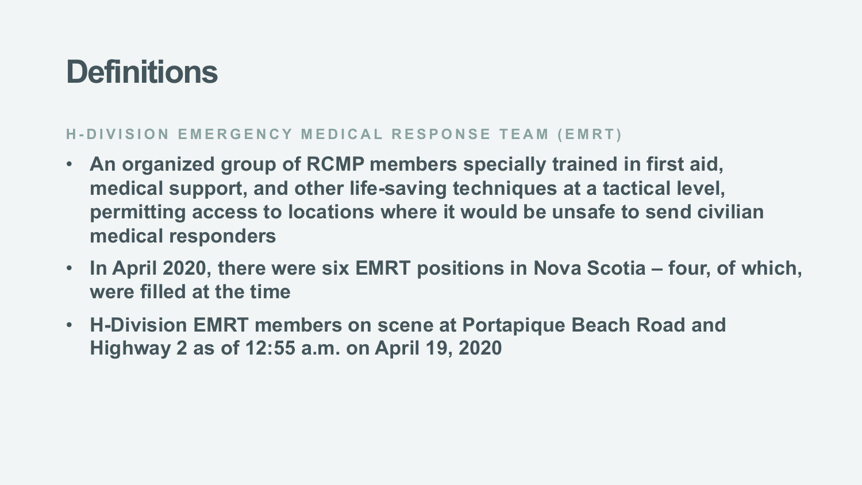#### **H - DIVISION EMERGENCY MEDICAL RESPONSE TEAM (EMRT)**

- **An organized group of RCMP members specially trained in first aid, medical support, and other life-saving techniques at a tactical level, permitting access to locations where it would be unsafe to send civilian medical responders**
- **In April 2020, there were six EMRT positions in Nova Scotia – four, of which, were filled at the time**
- **H-Division EMRT members on scene at Portapique Beach Road and Highway 2 as of 12:55 a.m. on April 19, 2020**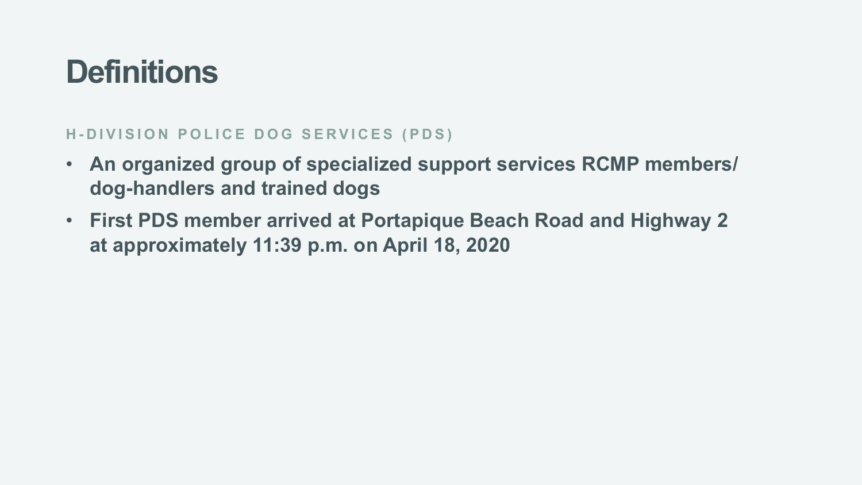#### **H - DIVISION POLICE DOG SERVICES (PDS)**

- **An organized group of specialized support services RCMP members/ dog-handlers and trained dogs**
- **First PDS member arrived at Portapique Beach Road and Highway 2 at approximately 11:39 p.m. on April 18, 2020**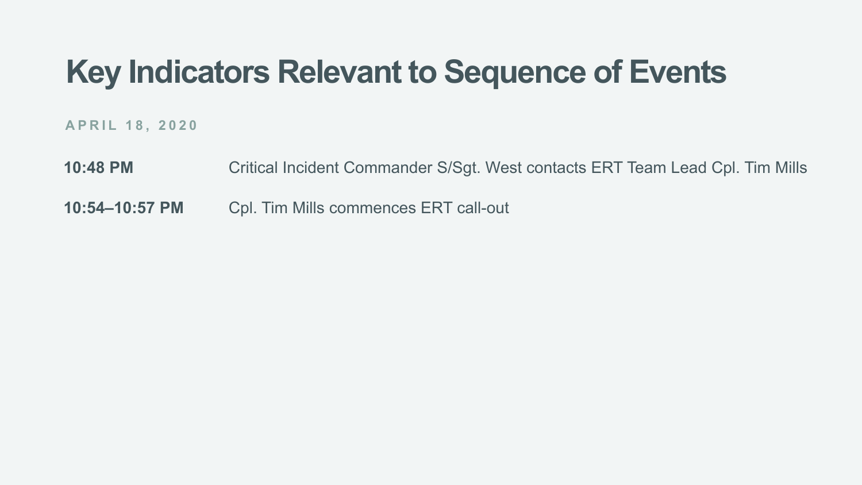**APRIL 18, 2020**

**10:48 PM** Critical Incident Commander S/Sgt. West contacts ERT Team Lead Cpl. Tim Mills

**10:54–10:57 PM** Cpl. Tim Mills commences ERT call-out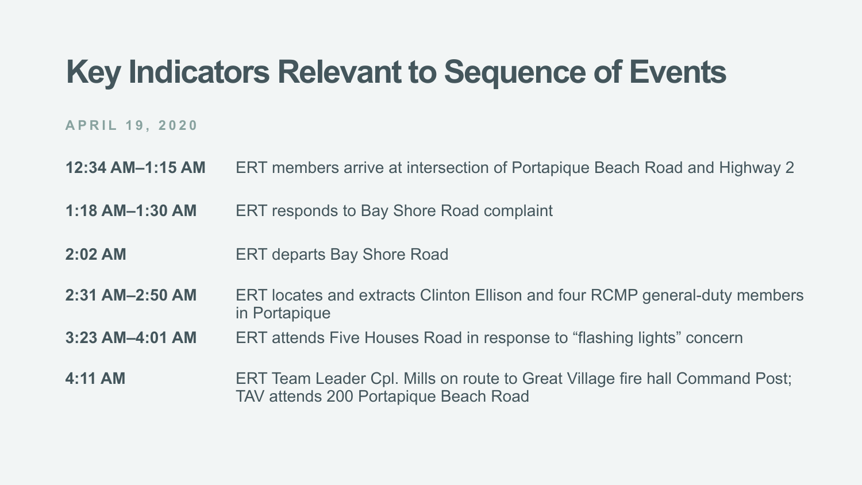- **12:34 AM–1:15 AM** ERT members arrive at intersection of Portapique Beach Road and Highway 2
- **1:18 AM–1:30 AM** ERT responds to Bay Shore Road complaint
- **2:02 AM** ERT departs Bay Shore Road
- **2:31 AM–2:50 AM** ERT locates and extracts Clinton Ellison and four RCMP general-duty members in Portapique
- **3:23 AM–4:01 AM** ERT attends Five Houses Road in response to "flashing lights" concern
- **4:11 AM** ERT Team Leader Cpl. Mills on route to Great Village fire hall Command Post; TAV attends 200 Portapique Beach Road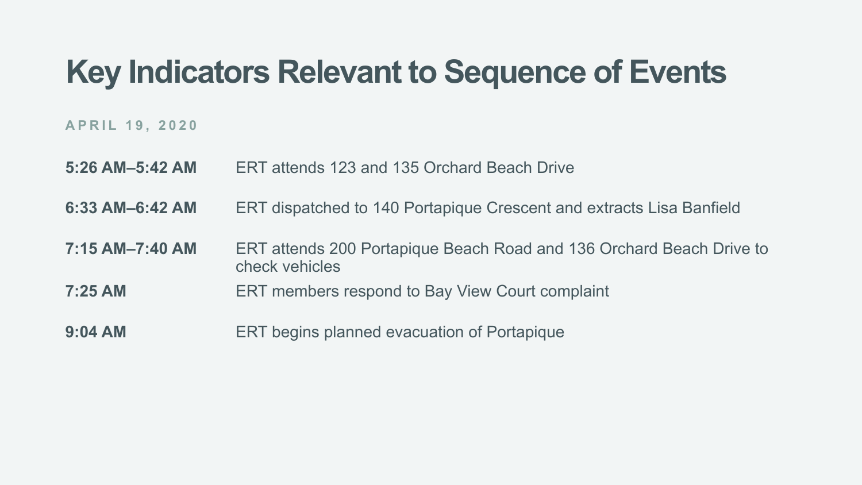- **5:26 AM–5:42 AM** ERT attends 123 and 135 Orchard Beach Drive
- **6:33 AM–6:42 AM** ERT dispatched to 140 Portapique Crescent and extracts Lisa Banfield
- **7:15 AM–7:40 AM** ERT attends 200 Portapique Beach Road and 136 Orchard Beach Drive to check vehicles
- **7:25 AM** ERT members respond to Bay View Court complaint
- **9:04 AM** ERT begins planned evacuation of Portapique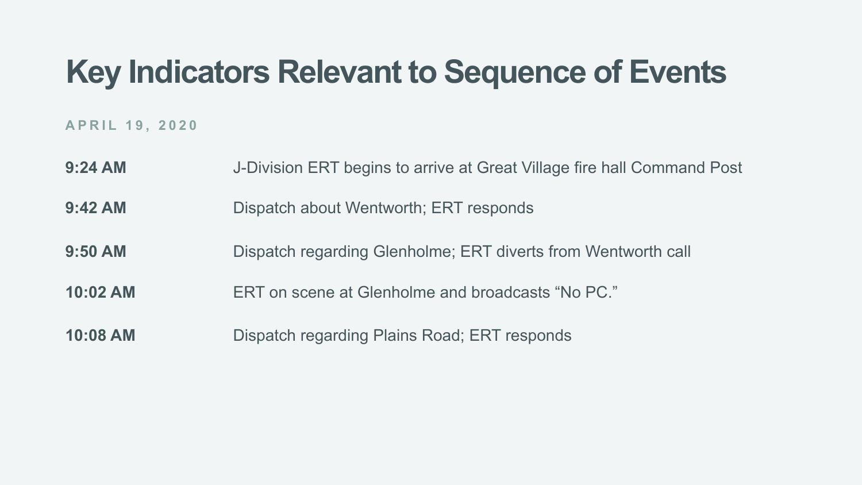- **9:24 AM** J-Division ERT begins to arrive at Great Village fire hall Command Post
- **9:42 AM** Dispatch about Wentworth; ERT responds
- **9:50 AM** Dispatch regarding Glenholme; ERT diverts from Wentworth call
- **10:02 AM** ERT on scene at Glenholme and broadcasts "No PC."
- **10:08 AM** Dispatch regarding Plains Road; ERT responds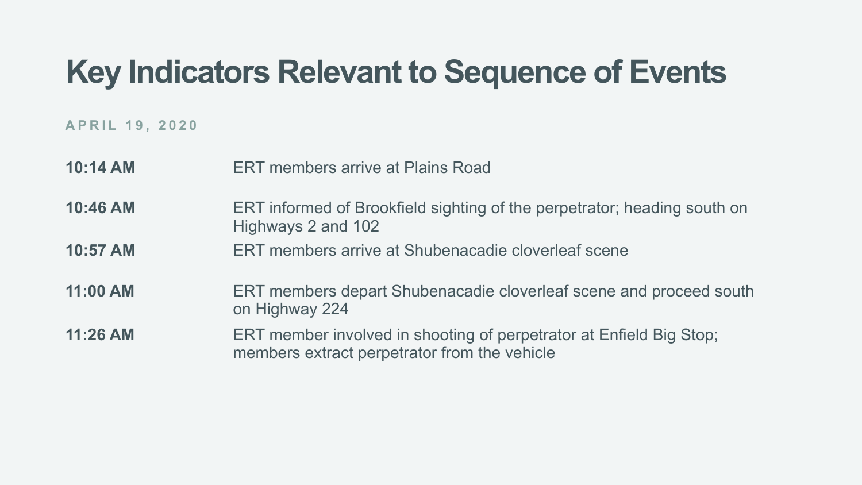- **10:14 AM** ERT members arrive at Plains Road
- **10:46 AM** ERT informed of Brookfield sighting of the perpetrator; heading south on Highways 2 and 102
- **10:57 AM** ERT members arrive at Shubenacadie cloverleaf scene
- **11:00 AM** ERT members depart Shubenacadie cloverleaf scene and proceed south on Highway 224
- **11:26 AM** ERT member involved in shooting of perpetrator at Enfield Big Stop; members extract perpetrator from the vehicle